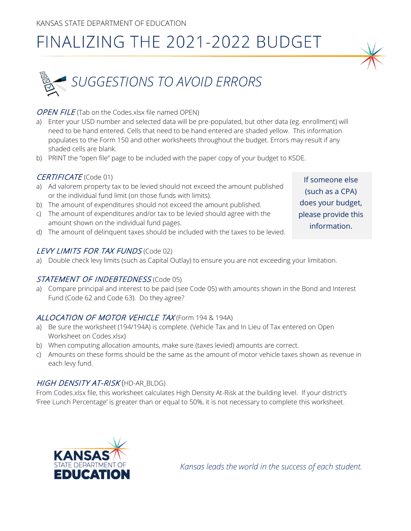# FINALIZING THE 2021-2022 BUDGET



### OPEN FILE (Tab on the Codes.xlsx file named OPEN)

- a) Enter your USD number and selected data will be pre-populated, but other data (eg. enrollment) will need to be hand entered. Cells that need to be hand entered are shaded yellow. This information populates to the Form 150 and other worksheets throughout the budget. Errors may result if any shaded cells are blank.
- b) PRINT the "open file" page to be included with the paper copy of your budget to KSDE.

# CERTIFICATE (Code 01)

- a) Ad valorem property tax to be levied should not exceed the amount published or the individual fund limit (on those funds with limits).
- b) The amount of expenditures should not exceed the amount published.
- c) The amount of expenditures and/or tax to be levied should agree with the amount shown on the individual fund pages.
- d) The amount of delinquent taxes should be included with the taxes to be levied.

# LEVY LIMITS FOR TAX FUNDS (Code 02)

a) Double check levy limits (such as Capital Outlay) to ensure you are not exceeding your limitation.

#### STATEMENT OF INDEBTEDNESS (Code 05)

a) Compare principal and interest to be paid (see Code 05) with amounts shown in the Bond and Interest Fund (Code 62 and Code 63). Do they agree?

#### ALLOCATION OF MOTOR VEHICLE TAX (Form 194 & 194A)

- a) Be sure the worksheet (194/194A) is complete. (Vehicle Tax and In Lieu of Tax entered on Open Worksheet on Codes.xlsx)
- b) When computing allocation amounts, make sure (taxes levied) amounts are correct.
- c) Amounts on these forms should be the same as the amount of motor vehicle taxes shown as revenue in each levy fund.

#### HIGH DENSITY AT-RISK (HD-AR\_BLDG)

From Codes.xlsx file, this worksheet calculates High Density At-Risk at the building level. If your district's 'Free Lunch Percentage' is greater than or equal to 50%, it is not necessary to complete this worksheet.



*Kansas leads the world in the success of each student.*

If someone else (such as a CPA) does your budget, please provide this information.

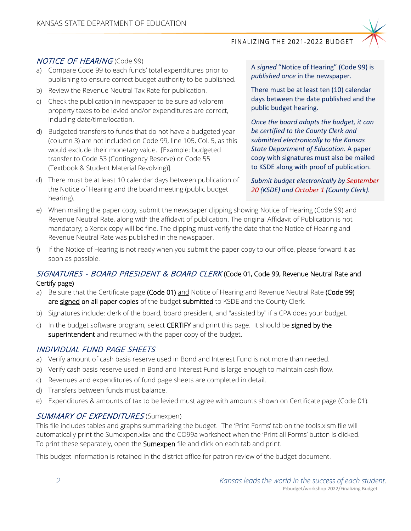#### FINALIZING THE 2021-2022 BUDGET



#### NOTICE OF HEARING (Code 99)

- a) Compare Code 99 to each funds' total expenditures prior to publishing to ensure correct budget authority to be published.
- b) Review the Revenue Neutral Tax Rate for publication.
- c) Check the publication in newspaper to be sure ad valorem property taxes to be levied and/or expenditures are correct, including date/time/location.
- d) Budgeted transfers to funds that do not have a budgeted year (column 3) are not included on Code 99, line 105, Col. 5, as this would exclude their monetary value. [Example: budgeted transfer to Code 53 (Contingency Reserve) or Code 55 (Textbook & Student Material Revolving)].
- d) There must be at least 10 calendar days between publication of the Notice of Hearing and the board meeting (public budget hearing).

A *signed* "Notice of Hearing" (Code 99) is *published once* in the newspaper.

There must be at least ten (10) calendar days between the date published and the public budget hearing.

*Once the board adopts the budget, it can be certified to the County Clerk and submitted electronically to the Kansas State Department of Education.* A paper copy with signatures must also be mailed to KSDE along with proof of publication.

*Submit budget electronically by September 20 (KSDE) and October 1 (County Clerk).* 

- e) When mailing the paper copy, submit the newspaper clipping showing Notice of Hearing (Code 99) and Revenue Neutral Rate, along with the affidavit of publication. The original Affidavit of Publication is not mandatory; a Xerox copy will be fine. The clipping must verify the date that the Notice of Hearing and Revenue Neutral Rate was published in the newspaper.
- If the Notice of Hearing is not ready when you submit the paper copy to our office, please forward it as soon as possible.

## SIGNATURES - BOARD PRESIDENT & BOARD CLERK (Code 01, Code 99, Revenue Neutral Rate and Certify page)

- a) Be sure that the Certificate page (Code 01) and Notice of Hearing and Revenue Neutral Rate (Code 99) are signed on all paper copies of the budget submitted to KSDE and the County Clerk.
- b) Signatures include: clerk of the board, board president, and "assisted by" if a CPA does your budget.
- c) In the budget software program, select CERTIFY and print this page. It should be signed by the superintendent and returned with the paper copy of the budget.

#### INDIVIDUAL FUND PAGE SHEETS

- a) Verify amount of cash basis reserve used in Bond and Interest Fund is not more than needed.
- b) Verify cash basis reserve used in Bond and Interest Fund is large enough to maintain cash flow.
- c) Revenues and expenditures of fund page sheets are completed in detail.
- d) Transfers between funds must balance.
- e) Expenditures & amounts of tax to be levied must agree with amounts shown on Certificate page (Code 01).

#### SUMMARY OF EXPENDITURES (Sumexpen)

This file includes tables and graphs summarizing the budget. The 'Print Forms' tab on the tools.xlsm file will automatically print the Sumexpen.xlsx and the CO99a worksheet when the 'Print all Forms' button is clicked. To print these separately, open the Sumexpen file and click on each tab and print.

This budget information is retained in the district office for patron review of the budget document.